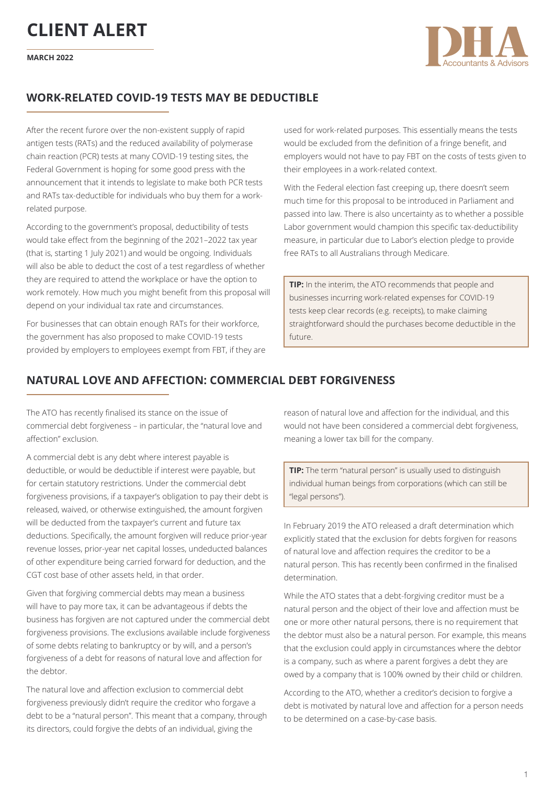

## **WORK-RELATED COVID-19 TESTS MAY BE DEDUCTIBLE**

After the recent furore over the non-existent supply of rapid antigen tests (RATs) and the reduced availability of polymerase chain reaction (PCR) tests at many COVID-19 testing sites, the Federal Government is hoping for some good press with the announcement that it intends to legislate to make both PCR tests and RATs tax-deductible for individuals who buy them for a workrelated purpose.

According to the government's proposal, deductibility of tests would take effect from the beginning of the 2021–2022 tax year (that is, starting 1 July 2021) and would be ongoing. Individuals will also be able to deduct the cost of a test regardless of whether they are required to attend the workplace or have the option to work remotely. How much you might benefit from this proposal will depend on your individual tax rate and circumstances.

For businesses that can obtain enough RATs for their workforce, the government has also proposed to make COVID-19 tests provided by employers to employees exempt from FBT, if they are used for work-related purposes. This essentially means the tests would be excluded from the definition of a fringe benefit, and employers would not have to pay FBT on the costs of tests given to their employees in a work-related context.

With the Federal election fast creeping up, there doesn't seem much time for this proposal to be introduced in Parliament and passed into law. There is also uncertainty as to whether a possible Labor government would champion this specific tax-deductibility measure, in particular due to Labor's election pledge to provide free RATs to all Australians through Medicare.

**TIP:** In the interim, the ATO recommends that people and businesses incurring work-related expenses for COVID-19 tests keep clear records (e.g. receipts), to make claiming straightforward should the purchases become deductible in the future.

## **NATURAL LOVE AND AFFECTION: COMMERCIAL DEBT FORGIVENESS**

The ATO has recently finalised its stance on the issue of commercial debt forgiveness – in particular, the "natural love and affection" exclusion.

A commercial debt is any debt where interest payable is deductible, or would be deductible if interest were payable, but for certain statutory restrictions. Under the commercial debt forgiveness provisions, if a taxpayer's obligation to pay their debt is released, waived, or otherwise extinguished, the amount forgiven will be deducted from the taxpayer's current and future tax deductions. Specifically, the amount forgiven will reduce prior-year revenue losses, prior-year net capital losses, undeducted balances of other expenditure being carried forward for deduction, and the CGT cost base of other assets held, in that order.

Given that forgiving commercial debts may mean a business will have to pay more tax, it can be advantageous if debts the business has forgiven are not captured under the commercial debt forgiveness provisions. The exclusions available include forgiveness of some debts relating to bankruptcy or by will, and a person's forgiveness of a debt for reasons of natural love and affection for the debtor.

The natural love and affection exclusion to commercial debt forgiveness previously didn't require the creditor who forgave a debt to be a "natural person". This meant that a company, through its directors, could forgive the debts of an individual, giving the

reason of natural love and affection for the individual, and this would not have been considered a commercial debt forgiveness, meaning a lower tax bill for the company.

**TIP:** The term "natural person" is usually used to distinguish individual human beings from corporations (which can still be "legal persons").

In February 2019 the ATO released a draft determination which explicitly stated that the exclusion for debts forgiven for reasons of natural love and affection requires the creditor to be a natural person. This has recently been confirmed in the finalised determination.

While the ATO states that a debt-forgiving creditor must be a natural person and the object of their love and affection must be one or more other natural persons, there is no requirement that the debtor must also be a natural person. For example, this means that the exclusion could apply in circumstances where the debtor is a company, such as where a parent forgives a debt they are owed by a company that is 100% owned by their child or children.

According to the ATO, whether a creditor's decision to forgive a debt is motivated by natural love and affection for a person needs to be determined on a case-by-case basis.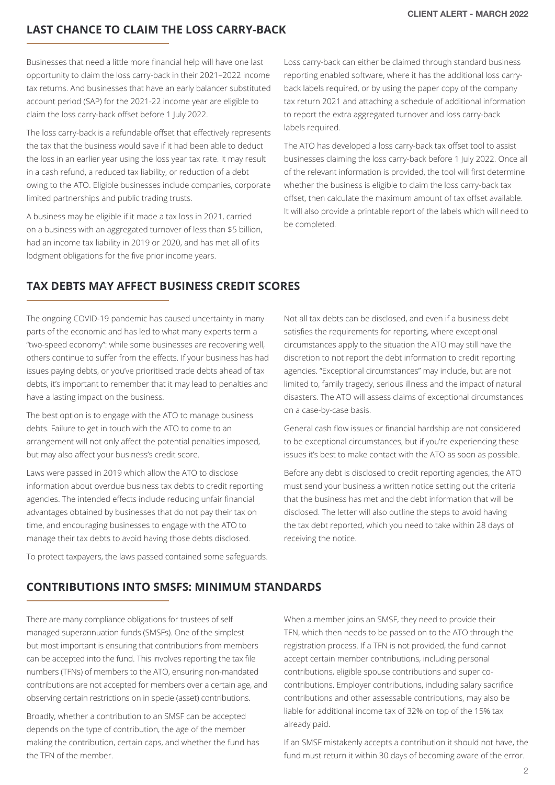## **LAST CHANCE TO CLAIM THE LOSS CARRY-BACK**

Businesses that need a little more financial help will have one last opportunity to claim the loss carry-back in their 2021–2022 income tax returns. And businesses that have an early balancer substituted account period (SAP) for the 2021-22 income year are eligible to claim the loss carry-back offset before 1 July 2022.

The loss carry-back is a refundable offset that effectively represents the tax that the business would save if it had been able to deduct the loss in an earlier year using the loss year tax rate. It may result in a cash refund, a reduced tax liability, or reduction of a debt owing to the ATO. Eligible businesses include companies, corporate limited partnerships and public trading trusts.

A business may be eligible if it made a tax loss in 2021, carried on a business with an aggregated turnover of less than \$5 billion, had an income tax liability in 2019 or 2020, and has met all of its lodgment obligations for the five prior income years.

Loss carry-back can either be claimed through standard business reporting enabled software, where it has the additional loss carryback labels required, or by using the paper copy of the company tax return 2021 and attaching a schedule of additional information to report the extra aggregated turnover and loss carry-back labels required.

The ATO has developed a loss carry-back tax offset tool to assist businesses claiming the loss carry-back before 1 July 2022. Once all of the relevant information is provided, the tool will first determine whether the business is eligible to claim the loss carry-back tax offset, then calculate the maximum amount of tax offset available. It will also provide a printable report of the labels which will need to be completed.

## **TAX DEBTS MAY AFFECT BUSINESS CREDIT SCORES**

The ongoing COVID-19 pandemic has caused uncertainty in many parts of the economic and has led to what many experts term a "two-speed economy": while some businesses are recovering well, others continue to suffer from the effects. If your business has had issues paying debts, or you've prioritised trade debts ahead of tax debts, it's important to remember that it may lead to penalties and have a lasting impact on the business.

The best option is to engage with the ATO to manage business debts. Failure to get in touch with the ATO to come to an arrangement will not only affect the potential penalties imposed, but may also affect your business's credit score.

Laws were passed in 2019 which allow the ATO to disclose information about overdue business tax debts to credit reporting agencies. The intended effects include reducing unfair financial advantages obtained by businesses that do not pay their tax on time, and encouraging businesses to engage with the ATO to manage their tax debts to avoid having those debts disclosed.

Not all tax debts can be disclosed, and even if a business debt satisfies the requirements for reporting, where exceptional circumstances apply to the situation the ATO may still have the discretion to not report the debt information to credit reporting agencies. "Exceptional circumstances" may include, but are not limited to, family tragedy, serious illness and the impact of natural disasters. The ATO will assess claims of exceptional circumstances on a case-by-case basis.

General cash flow issues or financial hardship are not considered to be exceptional circumstances, but if you're experiencing these issues it's best to make contact with the ATO as soon as possible.

Before any debt is disclosed to credit reporting agencies, the ATO must send your business a written notice setting out the criteria that the business has met and the debt information that will be disclosed. The letter will also outline the steps to avoid having the tax debt reported, which you need to take within 28 days of receiving the notice.

To protect taxpayers, the laws passed contained some safeguards.

# **CONTRIBUTIONS INTO SMSFS: MINIMUM STANDARDS**

There are many compliance obligations for trustees of self managed superannuation funds (SMSFs). One of the simplest but most important is ensuring that contributions from members can be accepted into the fund. This involves reporting the tax file numbers (TFNs) of members to the ATO, ensuring non-mandated contributions are not accepted for members over a certain age, and observing certain restrictions on in specie (asset) contributions.

Broadly, whether a contribution to an SMSF can be accepted depends on the type of contribution, the age of the member making the contribution, certain caps, and whether the fund has the TFN of the member.

When a member joins an SMSF, they need to provide their TFN, which then needs to be passed on to the ATO through the registration process. If a TFN is not provided, the fund cannot accept certain member contributions, including personal contributions, eligible spouse contributions and super cocontributions. Employer contributions, including salary sacrifice contributions and other assessable contributions, may also be liable for additional income tax of 32% on top of the 15% tax already paid.

If an SMSF mistakenly accepts a contribution it should not have, the fund must return it within 30 days of becoming aware of the error.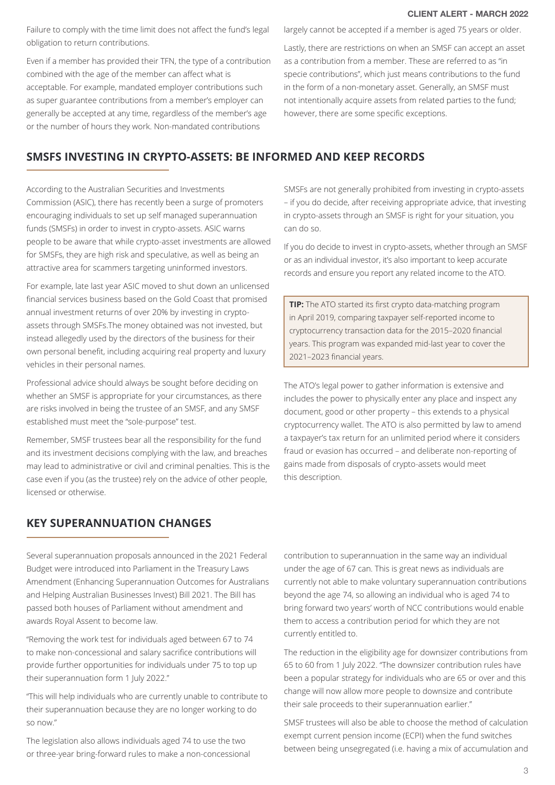Failure to comply with the time limit does not affect the fund's legal obligation to return contributions.

Even if a member has provided their TFN, the type of a contribution combined with the age of the member can affect what is acceptable. For example, mandated employer contributions such as super guarantee contributions from a member's employer can generally be accepted at any time, regardless of the member's age or the number of hours they work. Non-mandated contributions

largely cannot be accepted if a member is aged 75 years or older.

Lastly, there are restrictions on when an SMSF can accept an asset as a contribution from a member. These are referred to as "in specie contributions", which just means contributions to the fund in the form of a non-monetary asset. Generally, an SMSF must not intentionally acquire assets from related parties to the fund; however, there are some specific exceptions.

## **SMSFS INVESTING IN CRYPTO-ASSETS: BE INFORMED AND KEEP RECORDS**

According to the Australian Securities and Investments Commission (ASIC), there has recently been a surge of promoters encouraging individuals to set up self managed superannuation funds (SMSFs) in order to invest in crypto-assets. ASIC warns people to be aware that while crypto-asset investments are allowed for SMSFs, they are high risk and speculative, as well as being an attractive area for scammers targeting uninformed investors.

For example, late last year ASIC moved to shut down an unlicensed financial services business based on the Gold Coast that promised annual investment returns of over 20% by investing in cryptoassets through SMSFs.The money obtained was not invested, but instead allegedly used by the directors of the business for their own personal benefit, including acquiring real property and luxury vehicles in their personal names.

Professional advice should always be sought before deciding on whether an SMSF is appropriate for your circumstances, as there are risks involved in being the trustee of an SMSF, and any SMSF established must meet the "sole-purpose" test.

Remember, SMSF trustees bear all the responsibility for the fund and its investment decisions complying with the law, and breaches may lead to administrative or civil and criminal penalties. This is the case even if you (as the trustee) rely on the advice of other people, licensed or otherwise.

SMSFs are not generally prohibited from investing in crypto-assets – if you do decide, after receiving appropriate advice, that investing in crypto-assets through an SMSF is right for your situation, you can do so.

If you do decide to invest in crypto-assets, whether through an SMSF or as an individual investor, it's also important to keep accurate records and ensure you report any related income to the ATO.

**TIP:** The ATO started its first crypto data-matching program in April 2019, comparing taxpayer self-reported income to cryptocurrency transaction data for the 2015–2020 financial years. This program was expanded mid-last year to cover the 2021–2023 financial years.

The ATO's legal power to gather information is extensive and includes the power to physically enter any place and inspect any document, good or other property – this extends to a physical cryptocurrency wallet. The ATO is also permitted by law to amend a taxpayer's tax return for an unlimited period where it considers fraud or evasion has occurred – and deliberate non-reporting of gains made from disposals of crypto-assets would meet this description.

## **KEY SUPERANNUATION CHANGES**

Several superannuation proposals announced in the 2021 Federal Budget were introduced into Parliament in the Treasury Laws Amendment (Enhancing Superannuation Outcomes for Australians and Helping Australian Businesses Invest) Bill 2021. The Bill has passed both houses of Parliament without amendment and awards Royal Assent to become law.

"Removing the work test for individuals aged between 67 to 74 to make non-concessional and salary sacrifice contributions will provide further opportunities for individuals under 75 to top up their superannuation form 1 July 2022."

"This will help individuals who are currently unable to contribute to their superannuation because they are no longer working to do so now."

The legislation also allows individuals aged 74 to use the two or three-year bring-forward rules to make a non-concessional contribution to superannuation in the same way an individual under the age of 67 can. This is great news as individuals are currently not able to make voluntary superannuation contributions beyond the age 74, so allowing an individual who is aged 74 to bring forward two years' worth of NCC contributions would enable them to access a contribution period for which they are not currently entitled to.

The reduction in the eligibility age for downsizer contributions from 65 to 60 from 1 July 2022. "The downsizer contribution rules have been a popular strategy for individuals who are 65 or over and this change will now allow more people to downsize and contribute their sale proceeds to their superannuation earlier."

SMSF trustees will also be able to choose the method of calculation exempt current pension income (ECPI) when the fund switches between being unsegregated (i.e. having a mix of accumulation and